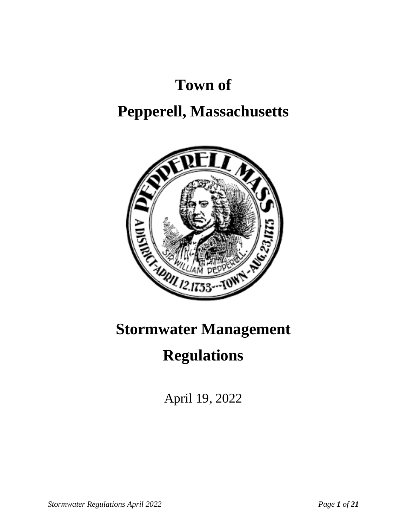# **Town of**

## **Pepperell, Massachusetts**



## **Stormwater Management**

### **Regulations**

April 19, 2022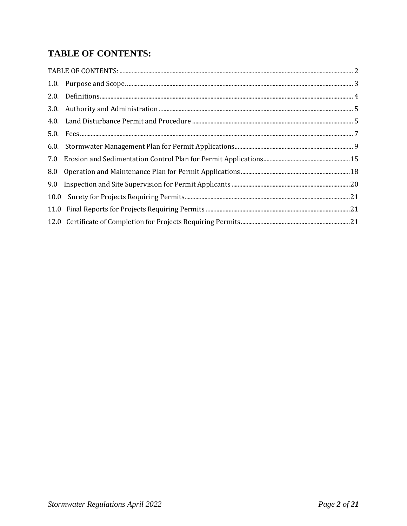### <span id="page-1-0"></span>**TABLE OF CONTENTS:**

| 8.0 |  |
|-----|--|
|     |  |
|     |  |
|     |  |
|     |  |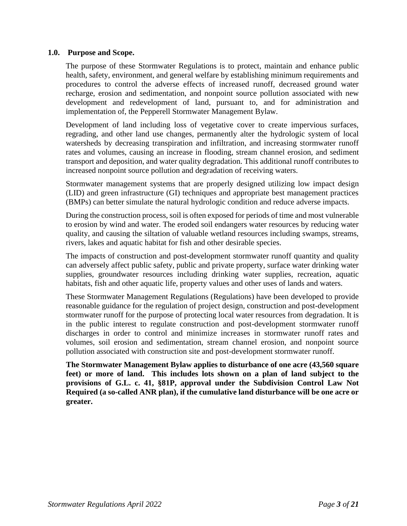#### <span id="page-2-0"></span>**1.0. Purpose and Scope.**

The purpose of these Stormwater Regulations is to protect, maintain and enhance public health, safety, environment, and general welfare by establishing minimum requirements and procedures to control the adverse effects of increased runoff, decreased ground water recharge, erosion and sedimentation, and nonpoint source pollution associated with new development and redevelopment of land, pursuant to, and for administration and implementation of, the Pepperell Stormwater Management Bylaw.

Development of land including loss of vegetative cover to create impervious surfaces, regrading, and other land use changes, permanently alter the hydrologic system of local watersheds by decreasing transpiration and infiltration, and increasing stormwater runoff rates and volumes, causing an increase in flooding, stream channel erosion, and sediment transport and deposition, and water quality degradation. This additional runoff contributes to increased nonpoint source pollution and degradation of receiving waters.

Stormwater management systems that are properly designed utilizing low impact design (LID) and green infrastructure (GI) techniques and appropriate best management practices (BMPs) can better simulate the natural hydrologic condition and reduce adverse impacts.

During the construction process, soil is often exposed for periods of time and most vulnerable to erosion by wind and water. The eroded soil endangers water resources by reducing water quality, and causing the siltation of valuable wetland resources including swamps, streams, rivers, lakes and aquatic habitat for fish and other desirable species.

The impacts of construction and post-development stormwater runoff quantity and quality can adversely affect public safety, public and private property, surface water drinking water supplies, groundwater resources including drinking water supplies, recreation, aquatic habitats, fish and other aquatic life, property values and other uses of lands and waters.

These Stormwater Management Regulations (Regulations) have been developed to provide reasonable guidance for the regulation of project design, construction and post-development stormwater runoff for the purpose of protecting local water resources from degradation. It is in the public interest to regulate construction and post-development stormwater runoff discharges in order to control and minimize increases in stormwater runoff rates and volumes, soil erosion and sedimentation, stream channel erosion, and nonpoint source pollution associated with construction site and post-development stormwater runoff.

**The Stormwater Management Bylaw applies to disturbance of one acre (43,560 square feet) or more of land. This includes lots shown on a plan of land subject to the provisions of G.L. c. 41, §81P, approval under the Subdivision Control Law Not Required (a so-called ANR plan), if the cumulative land disturbance will be one acre or greater.**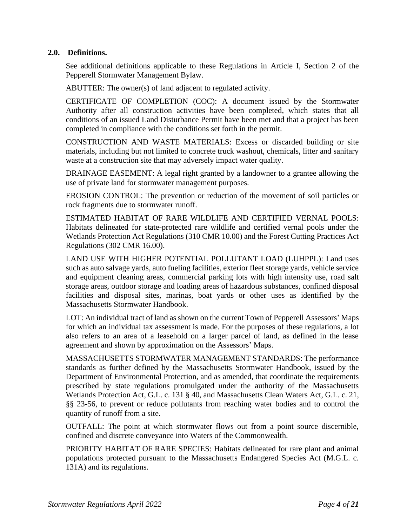#### <span id="page-3-0"></span>**2.0. Definitions.**

See additional definitions applicable to these Regulations in Article I, Section 2 of the Pepperell Stormwater Management Bylaw.

ABUTTER: The owner(s) of land adjacent to regulated activity.

CERTIFICATE OF COMPLETION (COC): A document issued by the Stormwater Authority after all construction activities have been completed, which states that all conditions of an issued Land Disturbance Permit have been met and that a project has been completed in compliance with the conditions set forth in the permit.

CONSTRUCTION AND WASTE MATERIALS: Excess or discarded building or site materials, including but not limited to concrete truck washout, chemicals, litter and sanitary waste at a construction site that may adversely impact water quality.

DRAINAGE EASEMENT: A legal right granted by a landowner to a grantee allowing the use of private land for stormwater management purposes.

EROSION CONTROL: The prevention or reduction of the movement of soil particles or rock fragments due to stormwater runoff.

ESTIMATED HABITAT OF RARE WILDLIFE AND CERTIFIED VERNAL POOLS: Habitats delineated for state-protected rare wildlife and certified vernal pools under the Wetlands Protection Act Regulations (310 CMR 10.00) and the Forest Cutting Practices Act Regulations (302 CMR 16.00).

LAND USE WITH HIGHER POTENTIAL POLLUTANT LOAD (LUHPPL): Land uses such as auto salvage yards, auto fueling facilities, exterior fleet storage yards, vehicle service and equipment cleaning areas, commercial parking lots with high intensity use, road salt storage areas, outdoor storage and loading areas of hazardous substances, confined disposal facilities and disposal sites, marinas, boat yards or other uses as identified by the Massachusetts Stormwater Handbook.

LOT: An individual tract of land as shown on the current Town of Pepperell Assessors' Maps for which an individual tax assessment is made. For the purposes of these regulations, a lot also refers to an area of a leasehold on a larger parcel of land, as defined in the lease agreement and shown by approximation on the Assessors' Maps.

MASSACHUSETTS STORMWATER MANAGEMENT STANDARDS: The performance standards as further defined by the Massachusetts Stormwater Handbook, issued by the Department of Environmental Protection, and as amended, that coordinate the requirements prescribed by state regulations promulgated under the authority of the Massachusetts Wetlands Protection Act, G.L. c. 131 § 40, and Massachusetts Clean Waters Act, G.L. c. 21, §§ 23-56, to prevent or reduce pollutants from reaching water bodies and to control the quantity of runoff from a site.

OUTFALL: The point at which stormwater flows out from a point source discernible, confined and discrete conveyance into Waters of the Commonwealth.

PRIORITY HABITAT OF RARE SPECIES: Habitats delineated for rare plant and animal populations protected pursuant to the Massachusetts Endangered Species Act (M.G.L. c. 131A) and its regulations.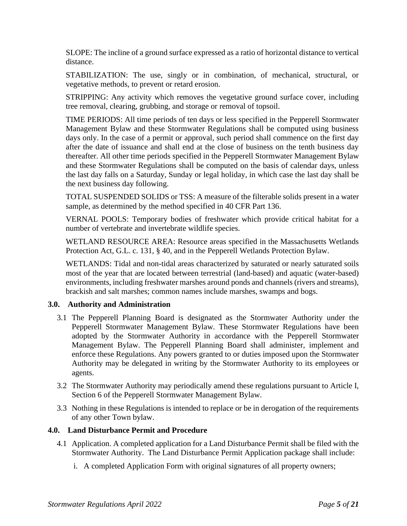SLOPE: The incline of a ground surface expressed as a ratio of horizontal distance to vertical distance.

STABILIZATION: The use, singly or in combination, of mechanical, structural, or vegetative methods, to prevent or retard erosion.

STRIPPING: Any activity which removes the vegetative ground surface cover, including tree removal, clearing, grubbing, and storage or removal of topsoil.

TIME PERIODS: All time periods of ten days or less specified in the Pepperell Stormwater Management Bylaw and these Stormwater Regulations shall be computed using business days only. In the case of a permit or approval, such period shall commence on the first day after the date of issuance and shall end at the close of business on the tenth business day thereafter. All other time periods specified in the Pepperell Stormwater Management Bylaw and these Stormwater Regulations shall be computed on the basis of calendar days, unless the last day falls on a Saturday, Sunday or legal holiday, in which case the last day shall be the next business day following.

TOTAL SUSPENDED SOLIDS or TSS: A measure of the filterable solids present in a water sample, as determined by the method specified in 40 CFR Part 136.

VERNAL POOLS: Temporary bodies of freshwater which provide critical habitat for a number of vertebrate and invertebrate wildlife species.

WETLAND RESOURCE AREA: Resource areas specified in the Massachusetts Wetlands Protection Act, G.L. c. 131, § 40, and in the Pepperell Wetlands Protection Bylaw.

WETLANDS: Tidal and non-tidal areas characterized by saturated or nearly saturated soils most of the year that are located between terrestrial (land-based) and aquatic (water-based) environments, including freshwater marshes around ponds and channels (rivers and streams), brackish and salt marshes; common names include marshes, swamps and bogs.

#### <span id="page-4-0"></span>**3.0. Authority and Administration**

- 3.1 The Pepperell Planning Board is designated as the Stormwater Authority under the Pepperell Stormwater Management Bylaw. These Stormwater Regulations have been adopted by the Stormwater Authority in accordance with the Pepperell Stormwater Management Bylaw. The Pepperell Planning Board shall administer, implement and enforce these Regulations. Any powers granted to or duties imposed upon the Stormwater Authority may be delegated in writing by the Stormwater Authority to its employees or agents.
- 3.2 The Stormwater Authority may periodically amend these regulations pursuant to Article I, Section 6 of the Pepperell Stormwater Management Bylaw.
- 3.3 Nothing in these Regulations is intended to replace or be in derogation of the requirements of any other Town bylaw.

#### <span id="page-4-1"></span>**4.0. Land Disturbance Permit and Procedure**

- 4.1 Application. A completed application for a Land Disturbance Permit shall be filed with the Stormwater Authority. The Land Disturbance Permit Application package shall include:
	- i. A completed Application Form with original signatures of all property owners;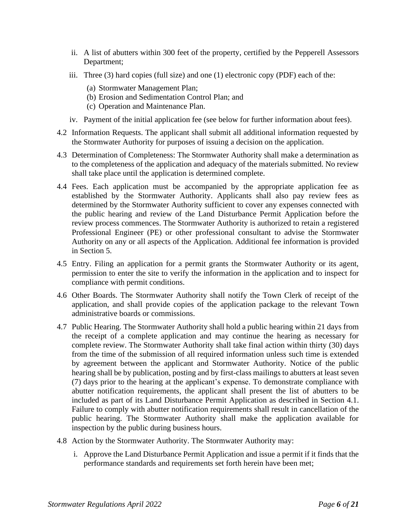- ii. A list of abutters within 300 feet of the property, certified by the Pepperell Assessors Department;
- iii. Three (3) hard copies (full size) and one (1) electronic copy (PDF) each of the:
	- (a) Stormwater Management Plan;
	- (b) Erosion and Sedimentation Control Plan; and
	- (c) Operation and Maintenance Plan.
- iv. Payment of the initial application fee (see below for further information about fees).
- 4.2 Information Requests. The applicant shall submit all additional information requested by the Stormwater Authority for purposes of issuing a decision on the application.
- 4.3 Determination of Completeness: The Stormwater Authority shall make a determination as to the completeness of the application and adequacy of the materials submitted. No review shall take place until the application is determined complete.
- 4.4 Fees. Each application must be accompanied by the appropriate application fee as established by the Stormwater Authority. Applicants shall also pay review fees as determined by the Stormwater Authority sufficient to cover any expenses connected with the public hearing and review of the Land Disturbance Permit Application before the review process commences. The Stormwater Authority is authorized to retain a registered Professional Engineer (PE) or other professional consultant to advise the Stormwater Authority on any or all aspects of the Application. Additional fee information is provided in Section 5.
- 4.5 Entry. Filing an application for a permit grants the Stormwater Authority or its agent, permission to enter the site to verify the information in the application and to inspect for compliance with permit conditions.
- 4.6 Other Boards. The Stormwater Authority shall notify the Town Clerk of receipt of the application, and shall provide copies of the application package to the relevant Town administrative boards or commissions.
- 4.7 Public Hearing. The Stormwater Authority shall hold a public hearing within 21 days from the receipt of a complete application and may continue the hearing as necessary for complete review. The Stormwater Authority shall take final action within thirty (30) days from the time of the submission of all required information unless such time is extended by agreement between the applicant and Stormwater Authority. Notice of the public hearing shall be by publication, posting and by first-class mailings to abutters at least seven (7) days prior to the hearing at the applicant's expense. To demonstrate compliance with abutter notification requirements, the applicant shall present the list of abutters to be included as part of its Land Disturbance Permit Application as described in Section 4.1. Failure to comply with abutter notification requirements shall result in cancellation of the public hearing. The Stormwater Authority shall make the application available for inspection by the public during business hours.
- 4.8 Action by the Stormwater Authority. The Stormwater Authority may:
	- i. Approve the Land Disturbance Permit Application and issue a permit if it finds that the performance standards and requirements set forth herein have been met;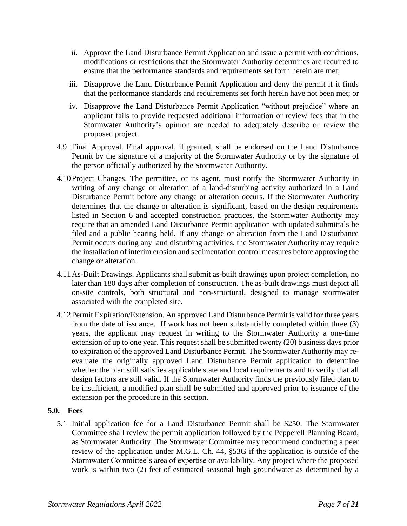- ii. Approve the Land Disturbance Permit Application and issue a permit with conditions, modifications or restrictions that the Stormwater Authority determines are required to ensure that the performance standards and requirements set forth herein are met;
- iii. Disapprove the Land Disturbance Permit Application and deny the permit if it finds that the performance standards and requirements set forth herein have not been met; or
- iv. Disapprove the Land Disturbance Permit Application "without prejudice" where an applicant fails to provide requested additional information or review fees that in the Stormwater Authority's opinion are needed to adequately describe or review the proposed project.
- 4.9 Final Approval. Final approval, if granted, shall be endorsed on the Land Disturbance Permit by the signature of a majority of the Stormwater Authority or by the signature of the person officially authorized by the Stormwater Authority.
- 4.10Project Changes. The permittee, or its agent, must notify the Stormwater Authority in writing of any change or alteration of a land-disturbing activity authorized in a Land Disturbance Permit before any change or alteration occurs. If the Stormwater Authority determines that the change or alteration is significant, based on the design requirements listed in Section 6 and accepted construction practices, the Stormwater Authority may require that an amended Land Disturbance Permit application with updated submittals be filed and a public hearing held. If any change or alteration from the Land Disturbance Permit occurs during any land disturbing activities, the Stormwater Authority may require the installation of interim erosion and sedimentation control measures before approving the change or alteration.
- 4.11As-Built Drawings. Applicants shall submit as-built drawings upon project completion, no later than 180 days after completion of construction. The as-built drawings must depict all on-site controls, both structural and non-structural, designed to manage stormwater associated with the completed site.
- 4.12Permit Expiration/Extension. An approved Land Disturbance Permit is valid for three years from the date of issuance. If work has not been substantially completed within three (3) years, the applicant may request in writing to the Stormwater Authority a one-time extension of up to one year. This request shall be submitted twenty (20) business days prior to expiration of the approved Land Disturbance Permit. The Stormwater Authority may reevaluate the originally approved Land Disturbance Permit application to determine whether the plan still satisfies applicable state and local requirements and to verify that all design factors are still valid. If the Stormwater Authority finds the previously filed plan to be insufficient, a modified plan shall be submitted and approved prior to issuance of the extension per the procedure in this section.

#### <span id="page-6-0"></span>**5.0. Fees**

5.1 Initial application fee for a Land Disturbance Permit shall be \$250. The Stormwater Committee shall review the permit application followed by the Pepperell Planning Board, as Stormwater Authority. The Stormwater Committee may recommend conducting a peer review of the application under M.G.L. Ch. 44, §53G if the application is outside of the Stormwater Committee's area of expertise or availability. Any project where the proposed work is within two (2) feet of estimated seasonal high groundwater as determined by a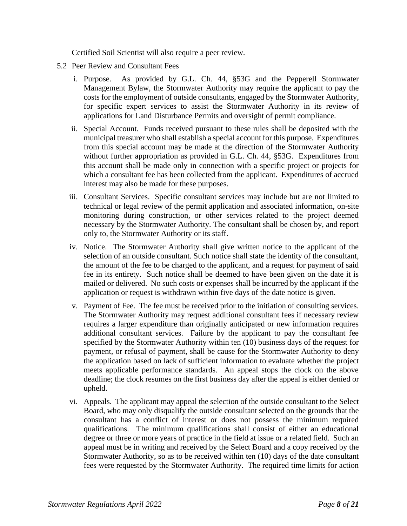Certified Soil Scientist will also require a peer review.

- 5.2 Peer Review and Consultant Fees
	- i. Purpose. As provided by G.L. Ch. 44, §53G and the Pepperell Stormwater Management Bylaw, the Stormwater Authority may require the applicant to pay the costs for the employment of outside consultants, engaged by the Stormwater Authority, for specific expert services to assist the Stormwater Authority in its review of applications for Land Disturbance Permits and oversight of permit compliance.
	- ii. Special Account. Funds received pursuant to these rules shall be deposited with the municipal treasurer who shall establish a special account for this purpose. Expenditures from this special account may be made at the direction of the Stormwater Authority without further appropriation as provided in G.L. Ch. 44, §53G. Expenditures from this account shall be made only in connection with a specific project or projects for which a consultant fee has been collected from the applicant. Expenditures of accrued interest may also be made for these purposes.
	- iii. Consultant Services. Specific consultant services may include but are not limited to technical or legal review of the permit application and associated information, on-site monitoring during construction, or other services related to the project deemed necessary by the Stormwater Authority. The consultant shall be chosen by, and report only to, the Stormwater Authority or its staff.
	- iv. Notice. The Stormwater Authority shall give written notice to the applicant of the selection of an outside consultant. Such notice shall state the identity of the consultant, the amount of the fee to be charged to the applicant, and a request for payment of said fee in its entirety. Such notice shall be deemed to have been given on the date it is mailed or delivered. No such costs or expenses shall be incurred by the applicant if the application or request is withdrawn within five days of the date notice is given.
	- v. Payment of Fee. The fee must be received prior to the initiation of consulting services. The Stormwater Authority may request additional consultant fees if necessary review requires a larger expenditure than originally anticipated or new information requires additional consultant services. Failure by the applicant to pay the consultant fee specified by the Stormwater Authority within ten (10) business days of the request for payment, or refusal of payment, shall be cause for the Stormwater Authority to deny the application based on lack of sufficient information to evaluate whether the project meets applicable performance standards. An appeal stops the clock on the above deadline; the clock resumes on the first business day after the appeal is either denied or upheld.
	- vi. Appeals. The applicant may appeal the selection of the outside consultant to the Select Board, who may only disqualify the outside consultant selected on the grounds that the consultant has a conflict of interest or does not possess the minimum required qualifications. The minimum qualifications shall consist of either an educational degree or three or more years of practice in the field at issue or a related field. Such an appeal must be in writing and received by the Select Board and a copy received by the Stormwater Authority, so as to be received within ten (10) days of the date consultant fees were requested by the Stormwater Authority. The required time limits for action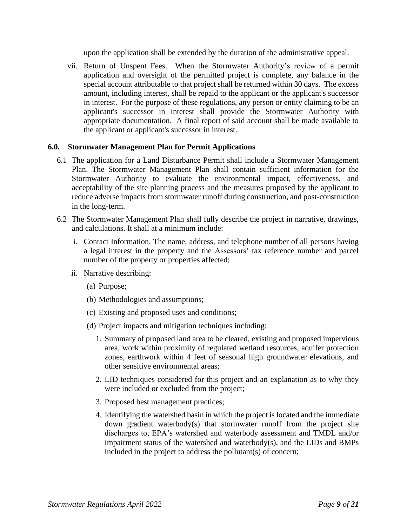upon the application shall be extended by the duration of the administrative appeal.

vii. Return of Unspent Fees. When the Stormwater Authority's review of a permit application and oversight of the permitted project is complete, any balance in the special account attributable to that project shall be returned within 30 days. The excess amount, including interest, shall be repaid to the applicant or the applicant's successor in interest. For the purpose of these regulations, any person or entity claiming to be an applicant's successor in interest shall provide the Stormwater Authority with appropriate documentation. A final report of said account shall be made available to the applicant or applicant's successor in interest.

#### <span id="page-8-0"></span>**6.0. Stormwater Management Plan for Permit Applications**

- 6.1 The application for a Land Disturbance Permit shall include a Stormwater Management Plan. The Stormwater Management Plan shall contain sufficient information for the Stormwater Authority to evaluate the environmental impact, effectiveness, and acceptability of the site planning process and the measures proposed by the applicant to reduce adverse impacts from stormwater runoff during construction, and post-construction in the long-term.
- 6.2 The Stormwater Management Plan shall fully describe the project in narrative, drawings, and calculations. It shall at a minimum include:
	- i. Contact Information. The name, address, and telephone number of all persons having a legal interest in the property and the Assessors' tax reference number and parcel number of the property or properties affected;
	- ii. Narrative describing:
		- (a) Purpose;
		- (b) Methodologies and assumptions;
		- (c) Existing and proposed uses and conditions;
		- (d) Project impacts and mitigation techniques including:
			- 1. Summary of proposed land area to be cleared, existing and proposed impervious area, work within proximity of regulated wetland resources, aquifer protection zones, earthwork within 4 feet of seasonal high groundwater elevations, and other sensitive environmental areas;
			- 2. LID techniques considered for this project and an explanation as to why they were included or excluded from the project;
			- 3. Proposed best management practices;
			- 4. Identifying the watershed basin in which the project is located and the immediate down gradient waterbody(s) that stormwater runoff from the project site discharges to, EPA's watershed and waterbody assessment and TMDL and/or impairment status of the watershed and waterbody(s), and the LIDs and BMPs included in the project to address the pollutant(s) of concern;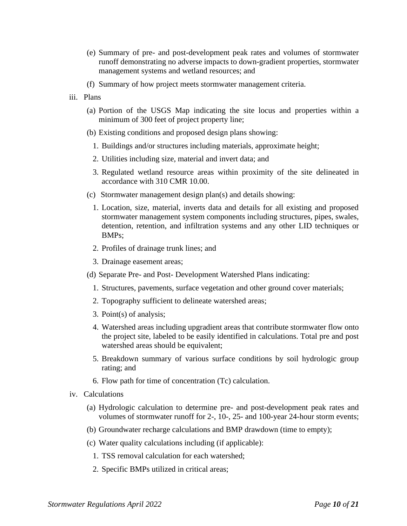- (e) Summary of pre- and post-development peak rates and volumes of stormwater runoff demonstrating no adverse impacts to down-gradient properties, stormwater management systems and wetland resources; and
- (f) Summary of how project meets stormwater management criteria.
- iii. Plans
	- (a) Portion of the USGS Map indicating the site locus and properties within a minimum of 300 feet of project property line;
	- (b) Existing conditions and proposed design plans showing:
		- 1. Buildings and/or structures including materials, approximate height;
		- 2. Utilities including size, material and invert data; and
		- 3. Regulated wetland resource areas within proximity of the site delineated in accordance with 310 CMR 10.00.
	- (c) Stormwater management design plan(s) and details showing:
		- 1. Location, size, material, inverts data and details for all existing and proposed stormwater management system components including structures, pipes, swales, detention, retention, and infiltration systems and any other LID techniques or BMPs;
		- 2. Profiles of drainage trunk lines; and
		- 3. Drainage easement areas;
	- (d) Separate Pre- and Post- Development Watershed Plans indicating:
		- 1. Structures, pavements, surface vegetation and other ground cover materials;
		- 2. Topography sufficient to delineate watershed areas;
		- 3. Point(s) of analysis;
		- 4. Watershed areas including upgradient areas that contribute stormwater flow onto the project site, labeled to be easily identified in calculations. Total pre and post watershed areas should be equivalent;
		- 5. Breakdown summary of various surface conditions by soil hydrologic group rating; and
		- 6. Flow path for time of concentration (Tc) calculation.
- iv. Calculations
	- (a) Hydrologic calculation to determine pre- and post-development peak rates and volumes of stormwater runoff for 2-, 10-, 25- and 100-year 24-hour storm events;
	- (b) Groundwater recharge calculations and BMP drawdown (time to empty);
	- (c) Water quality calculations including (if applicable):
		- 1. TSS removal calculation for each watershed;
		- 2. Specific BMPs utilized in critical areas;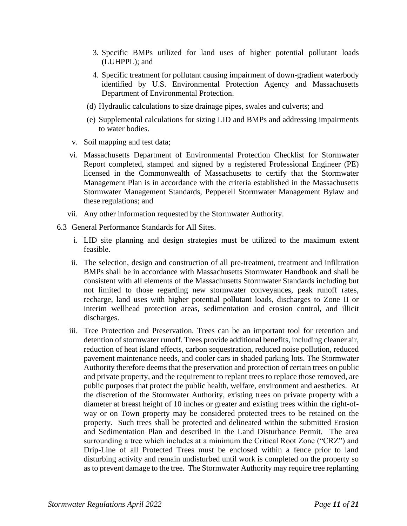- 3. Specific BMPs utilized for land uses of higher potential pollutant loads (LUHPPL); and
- 4. Specific treatment for pollutant causing impairment of down-gradient waterbody identified by U.S. Environmental Protection Agency and Massachusetts Department of Environmental Protection.
- (d) Hydraulic calculations to size drainage pipes, swales and culverts; and
- (e) Supplemental calculations for sizing LID and BMPs and addressing impairments to water bodies.
- v. Soil mapping and test data;
- vi. Massachusetts Department of Environmental Protection Checklist for Stormwater Report completed, stamped and signed by a registered Professional Engineer (PE) licensed in the Commonwealth of Massachusetts to certify that the Stormwater Management Plan is in accordance with the criteria established in the Massachusetts Stormwater Management Standards, Pepperell Stormwater Management Bylaw and these regulations; and
- vii. Any other information requested by the Stormwater Authority.
- 6.3 General Performance Standards for All Sites.
	- i. LID site planning and design strategies must be utilized to the maximum extent feasible.
	- ii. The selection, design and construction of all pre-treatment, treatment and infiltration BMPs shall be in accordance with Massachusetts Stormwater Handbook and shall be consistent with all elements of the Massachusetts Stormwater Standards including but not limited to those regarding new stormwater conveyances, peak runoff rates, recharge, land uses with higher potential pollutant loads, discharges to Zone II or interim wellhead protection areas, sedimentation and erosion control, and illicit discharges.
	- iii. Tree Protection and Preservation. Trees can be an important tool for retention and detention of stormwater runoff. Trees provide additional benefits, including cleaner air, reduction of heat island effects, carbon sequestration, reduced noise pollution, reduced pavement maintenance needs, and cooler cars in shaded parking lots. The Stormwater Authority therefore deems that the preservation and protection of certain trees on public and private property, and the requirement to replant trees to replace those removed, are public purposes that protect the public health, welfare, environment and aesthetics. At the discretion of the Stormwater Authority, existing trees on private property with a diameter at breast height of 10 inches or greater and existing trees within the right-ofway or on Town property may be considered protected trees to be retained on the property. Such trees shall be protected and delineated within the submitted Erosion and Sedimentation Plan and described in the Land Disturbance Permit. The area surrounding a tree which includes at a minimum the Critical Root Zone ("CRZ") and Drip-Line of all Protected Trees must be enclosed within a fence prior to land disturbing activity and remain undisturbed until work is completed on the property so as to prevent damage to the tree. The Stormwater Authority may require tree replanting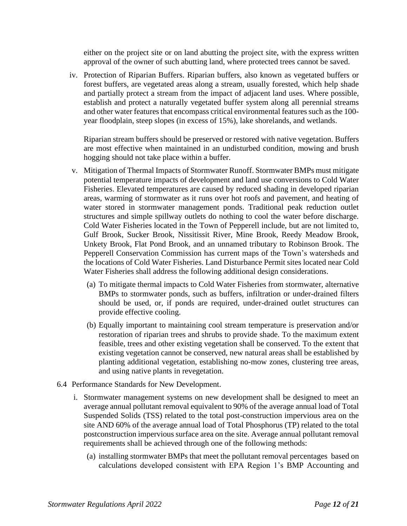either on the project site or on land abutting the project site, with the express written approval of the owner of such abutting land, where protected trees cannot be saved.

iv. Protection of Riparian Buffers. Riparian buffers, also known as vegetated buffers or forest buffers, are vegetated areas along a stream, usually forested, which help shade and partially protect a stream from the impact of adjacent land uses. Where possible, establish and protect a naturally vegetated buffer system along all perennial streams and other water features that encompass critical environmental features such as the 100 year floodplain, steep slopes (in excess of 15%), lake shorelands, and wetlands.

Riparian stream buffers should be preserved or restored with native vegetation. Buffers are most effective when maintained in an undisturbed condition, mowing and brush hogging should not take place within a buffer.

- v. Mitigation of Thermal Impacts of Stormwater Runoff. Stormwater BMPs must mitigate potential temperature impacts of development and land use conversions to Cold Water Fisheries. Elevated temperatures are caused by reduced shading in developed riparian areas, warming of stormwater as it runs over hot roofs and pavement, and heating of water stored in stormwater management ponds. Traditional peak reduction outlet structures and simple spillway outlets do nothing to cool the water before discharge. Cold Water Fisheries located in the Town of Pepperell include, but are not limited to, Gulf Brook, Sucker Brook, Nissitissit River, Mine Brook, Reedy Meadow Brook, Unkety Brook, Flat Pond Brook, and an unnamed tributary to Robinson Brook. The Pepperell Conservation Commission has current maps of the Town's watersheds and the locations of Cold Water Fisheries. Land Disturbance Permit sites located near Cold Water Fisheries shall address the following additional design considerations.
	- (a) To mitigate thermal impacts to Cold Water Fisheries from stormwater, alternative BMPs to stormwater ponds, such as buffers, infiltration or under-drained filters should be used, or, if ponds are required, under-drained outlet structures can provide effective cooling.
	- (b) Equally important to maintaining cool stream temperature is preservation and/or restoration of riparian trees and shrubs to provide shade. To the maximum extent feasible, trees and other existing vegetation shall be conserved. To the extent that existing vegetation cannot be conserved, new natural areas shall be established by planting additional vegetation, establishing no-mow zones, clustering tree areas, and using native plants in revegetation.
- 6.4 Performance Standards for New Development.
	- i. Stormwater management systems on new development shall be designed to meet an average annual pollutant removal equivalent to 90% of the average annual load of Total Suspended Solids (TSS) related to the total post-construction impervious area on the site AND 60% of the average annual load of Total Phosphorus (TP) related to the total postconstruction impervious surface area on the site. Average annual pollutant removal requirements shall be achieved through one of the following methods:
		- (a) installing stormwater BMPs that meet the pollutant removal percentages based on calculations developed consistent with EPA Region 1's BMP Accounting and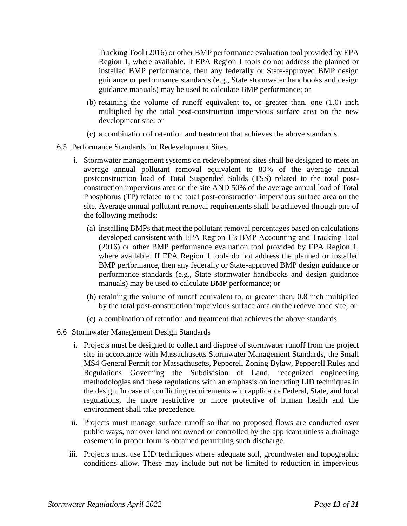Tracking Tool (2016) or other BMP performance evaluation tool provided by EPA Region 1, where available. If EPA Region 1 tools do not address the planned or installed BMP performance, then any federally or State-approved BMP design guidance or performance standards (e.g., State stormwater handbooks and design guidance manuals) may be used to calculate BMP performance; or

- (b) retaining the volume of runoff equivalent to, or greater than, one (1.0) inch multiplied by the total post-construction impervious surface area on the new development site; or
- (c) a combination of retention and treatment that achieves the above standards.
- 6.5 Performance Standards for Redevelopment Sites.
	- i. Stormwater management systems on redevelopment sites shall be designed to meet an average annual pollutant removal equivalent to 80% of the average annual postconstruction load of Total Suspended Solids (TSS) related to the total postconstruction impervious area on the site AND 50% of the average annual load of Total Phosphorus (TP) related to the total post-construction impervious surface area on the site. Average annual pollutant removal requirements shall be achieved through one of the following methods:
		- (a) installing BMPs that meet the pollutant removal percentages based on calculations developed consistent with EPA Region 1's BMP Accounting and Tracking Tool (2016) or other BMP performance evaluation tool provided by EPA Region 1, where available. If EPA Region 1 tools do not address the planned or installed BMP performance, then any federally or State-approved BMP design guidance or performance standards (e.g., State stormwater handbooks and design guidance manuals) may be used to calculate BMP performance; or
		- (b) retaining the volume of runoff equivalent to, or greater than, 0.8 inch multiplied by the total post-construction impervious surface area on the redeveloped site; or
		- (c) a combination of retention and treatment that achieves the above standards.
- 6.6 Stormwater Management Design Standards
	- i. Projects must be designed to collect and dispose of stormwater runoff from the project site in accordance with Massachusetts Stormwater Management Standards, the Small MS4 General Permit for Massachusetts, Pepperell Zoning Bylaw, Pepperell Rules and Regulations Governing the Subdivision of Land, recognized engineering methodologies and these regulations with an emphasis on including LID techniques in the design. In case of conflicting requirements with applicable Federal, State, and local regulations, the more restrictive or more protective of human health and the environment shall take precedence.
	- ii. Projects must manage surface runoff so that no proposed flows are conducted over public ways, nor over land not owned or controlled by the applicant unless a drainage easement in proper form is obtained permitting such discharge.
	- iii. Projects must use LID techniques where adequate soil, groundwater and topographic conditions allow. These may include but not be limited to reduction in impervious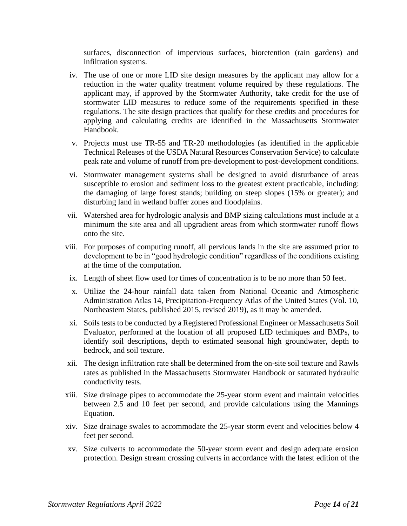surfaces, disconnection of impervious surfaces, bioretention (rain gardens) and infiltration systems.

- iv. The use of one or more LID site design measures by the applicant may allow for a reduction in the water quality treatment volume required by these regulations. The applicant may, if approved by the Stormwater Authority, take credit for the use of stormwater LID measures to reduce some of the requirements specified in these regulations. The site design practices that qualify for these credits and procedures for applying and calculating credits are identified in the Massachusetts Stormwater Handbook.
- v. Projects must use TR-55 and TR-20 methodologies (as identified in the applicable Technical Releases of the USDA Natural Resources Conservation Service) to calculate peak rate and volume of runoff from pre-development to post-development conditions.
- vi. Stormwater management systems shall be designed to avoid disturbance of areas susceptible to erosion and sediment loss to the greatest extent practicable, including: the damaging of large forest stands; building on steep slopes (15% or greater); and disturbing land in wetland buffer zones and floodplains.
- vii. Watershed area for hydrologic analysis and BMP sizing calculations must include at a minimum the site area and all upgradient areas from which stormwater runoff flows onto the site.
- viii. For purposes of computing runoff, all pervious lands in the site are assumed prior to development to be in "good hydrologic condition" regardless of the conditions existing at the time of the computation.
	- ix. Length of sheet flow used for times of concentration is to be no more than 50 feet.
	- x. Utilize the 24-hour rainfall data taken from National Oceanic and Atmospheric Administration Atlas 14, Precipitation-Frequency Atlas of the United States (Vol. 10, Northeastern States, published 2015, revised 2019), as it may be amended.
	- xi. Soils tests to be conducted by a Registered Professional Engineer or Massachusetts Soil Evaluator, performed at the location of all proposed LID techniques and BMPs, to identify soil descriptions, depth to estimated seasonal high groundwater, depth to bedrock, and soil texture.
- xii. The design infiltration rate shall be determined from the on-site soil texture and Rawls rates as published in the Massachusetts Stormwater Handbook or saturated hydraulic conductivity tests.
- xiii. Size drainage pipes to accommodate the 25-year storm event and maintain velocities between 2.5 and 10 feet per second, and provide calculations using the Mannings Equation.
- xiv. Size drainage swales to accommodate the 25-year storm event and velocities below 4 feet per second.
- xv. Size culverts to accommodate the 50-year storm event and design adequate erosion protection. Design stream crossing culverts in accordance with the latest edition of the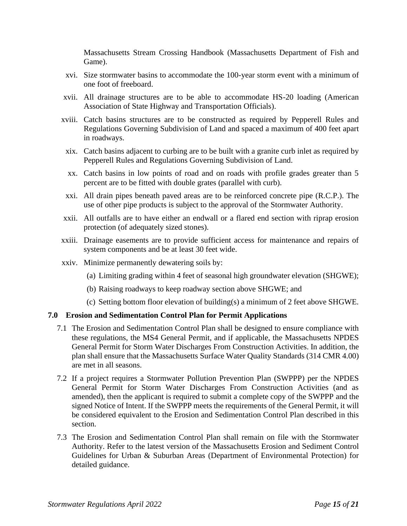Massachusetts Stream Crossing Handbook (Massachusetts Department of Fish and Game).

- xvi. Size stormwater basins to accommodate the 100-year storm event with a minimum of one foot of freeboard.
- xvii. All drainage structures are to be able to accommodate HS-20 loading (American Association of State Highway and Transportation Officials).
- xviii. Catch basins structures are to be constructed as required by Pepperell Rules and Regulations Governing Subdivision of Land and spaced a maximum of 400 feet apart in roadways.
- xix. Catch basins adjacent to curbing are to be built with a granite curb inlet as required by Pepperell Rules and Regulations Governing Subdivision of Land.
- xx. Catch basins in low points of road and on roads with profile grades greater than 5 percent are to be fitted with double grates (parallel with curb).
- xxi. All drain pipes beneath paved areas are to be reinforced concrete pipe (R.C.P.). The use of other pipe products is subject to the approval of the Stormwater Authority.
- xxii. All outfalls are to have either an endwall or a flared end section with riprap erosion protection (of adequately sized stones).
- xxiii. Drainage easements are to provide sufficient access for maintenance and repairs of system components and be at least 30 feet wide.
- xxiv. Minimize permanently dewatering soils by:
	- (a) Limiting grading within 4 feet of seasonal high groundwater elevation (SHGWE);
	- (b) Raising roadways to keep roadway section above SHGWE; and
	- (c) Setting bottom floor elevation of building(s) a minimum of 2 feet above SHGWE.

#### <span id="page-14-0"></span>**7.0 Erosion and Sedimentation Control Plan for Permit Applications**

- 7.1 The Erosion and Sedimentation Control Plan shall be designed to ensure compliance with these regulations, the MS4 General Permit, and if applicable, the Massachusetts NPDES General Permit for Storm Water Discharges From Construction Activities. In addition, the plan shall ensure that the Massachusetts Surface Water Quality Standards (314 CMR 4.00) are met in all seasons.
- 7.2 If a project requires a Stormwater Pollution Prevention Plan (SWPPP) per the NPDES General Permit for Storm Water Discharges From Construction Activities (and as amended), then the applicant is required to submit a complete copy of the SWPPP and the signed Notice of Intent. If the SWPPP meets the requirements of the General Permit, it will be considered equivalent to the Erosion and Sedimentation Control Plan described in this section.
- 7.3 The Erosion and Sedimentation Control Plan shall remain on file with the Stormwater Authority. Refer to the latest version of the Massachusetts Erosion and Sediment Control Guidelines for Urban & Suburban Areas (Department of Environmental Protection) for detailed guidance.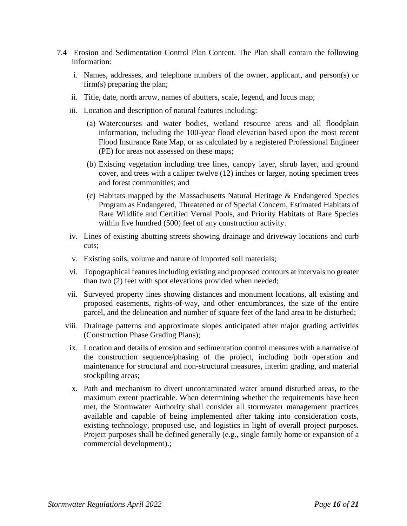- 7.4 Erosion and Sedimentation Control Plan Content. The Plan shall contain the following information:
	- i. Names, addresses, and telephone numbers of the owner, applicant, and person(s) or firm(s) preparing the plan;
	- ii. Title, date, north arrow, names of abutters, scale, legend, and locus map;
	- iii. Location and description of natural features including:
		- (a) Watercourses and water bodies, wetland resource areas and all floodplain information, including the 100-year flood elevation based upon the most recent Flood Insurance Rate Map, or as calculated by a registered Professional Engineer (PE) for areas not assessed on these maps;
		- (b) Existing vegetation including tree lines, canopy layer, shrub layer, and ground cover, and trees with a caliper twelve (12) inches or larger, noting specimen trees and forest communities; and
		- (c) Habitats mapped by the Massachusetts Natural Heritage & Endangered Species Program as Endangered, Threatened or of Special Concern, Estimated Habitats of Rare Wildlife and Certified Vernal Pools, and Priority Habitats of Rare Species within five hundred (500) feet of any construction activity.
	- iv. Lines of existing abutting streets showing drainage and driveway locations and curb cuts;
	- v. Existing soils, volume and nature of imported soil materials;
	- vi. Topographical features including existing and proposed contours at intervals no greater than two (2) feet with spot elevations provided when needed;
	- vii. Surveyed property lines showing distances and monument locations, all existing and proposed easements, rights-of-way, and other encumbrances, the size of the entire parcel, and the delineation and number of square feet of the land area to be disturbed;
	- viii. Drainage patterns and approximate slopes anticipated after major grading activities (Construction Phase Grading Plans);
		- ix. Location and details of erosion and sedimentation control measures with a narrative of the construction sequence/phasing of the project, including both operation and maintenance for structural and non-structural measures, interim grading, and material stockpiling areas;
		- x. Path and mechanism to divert uncontaminated water around disturbed areas, to the maximum extent practicable. When determining whether the requirements have been met, the Stormwater Authority shall consider all stormwater management practices available and capable of being implemented after taking into consideration costs, existing technology, proposed use, and logistics in light of overall project purposes. Project purposes shall be defined generally (e.g., single family home or expansion of a commercial development).;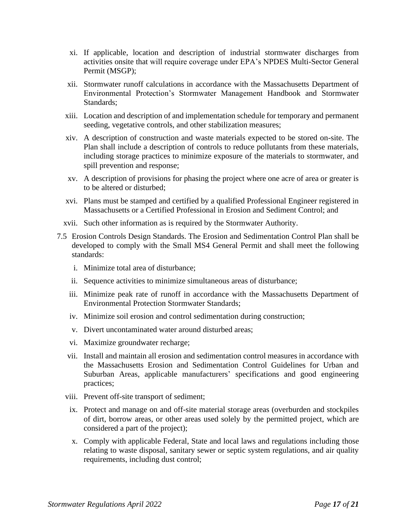- xi. If applicable, location and description of industrial stormwater discharges from activities onsite that will require coverage under EPA's NPDES Multi-Sector General Permit (MSGP);
- xii. Stormwater runoff calculations in accordance with the Massachusetts Department of Environmental Protection's Stormwater Management Handbook and Stormwater Standards;
- xiii. Location and description of and implementation schedule for temporary and permanent seeding, vegetative controls, and other stabilization measures;
- xiv. A description of construction and waste materials expected to be stored on-site. The Plan shall include a description of controls to reduce pollutants from these materials, including storage practices to minimize exposure of the materials to stormwater, and spill prevention and response;
- xv. A description of provisions for phasing the project where one acre of area or greater is to be altered or disturbed;
- xvi. Plans must be stamped and certified by a qualified Professional Engineer registered in Massachusetts or a Certified Professional in Erosion and Sediment Control; and
- xvii. Such other information as is required by the Stormwater Authority.
- 7.5 Erosion Controls Design Standards. The Erosion and Sedimentation Control Plan shall be developed to comply with the Small MS4 General Permit and shall meet the following standards:
	- i. Minimize total area of disturbance;
	- ii. Sequence activities to minimize simultaneous areas of disturbance;
	- iii. Minimize peak rate of runoff in accordance with the Massachusetts Department of Environmental Protection Stormwater Standards;
	- iv. Minimize soil erosion and control sedimentation during construction;
	- v. Divert uncontaminated water around disturbed areas;
	- vi. Maximize groundwater recharge;
	- vii. Install and maintain all erosion and sedimentation control measures in accordance with the Massachusetts Erosion and Sedimentation Control Guidelines for Urban and Suburban Areas, applicable manufacturers' specifications and good engineering practices;
	- viii. Prevent off-site transport of sediment;
	- ix. Protect and manage on and off-site material storage areas (overburden and stockpiles of dirt, borrow areas, or other areas used solely by the permitted project, which are considered a part of the project);
	- x. Comply with applicable Federal, State and local laws and regulations including those relating to waste disposal, sanitary sewer or septic system regulations, and air quality requirements, including dust control;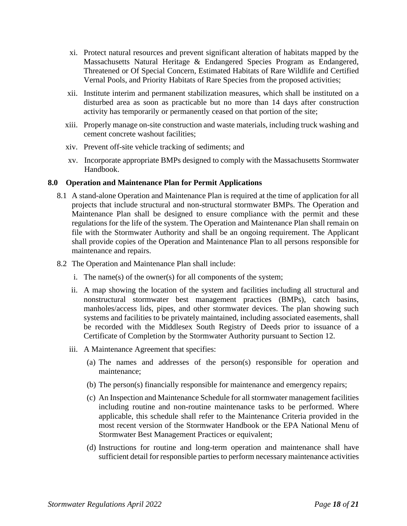- xi. Protect natural resources and prevent significant alteration of habitats mapped by the Massachusetts Natural Heritage & Endangered Species Program as Endangered, Threatened or Of Special Concern, Estimated Habitats of Rare Wildlife and Certified Vernal Pools, and Priority Habitats of Rare Species from the proposed activities;
- xii. Institute interim and permanent stabilization measures, which shall be instituted on a disturbed area as soon as practicable but no more than 14 days after construction activity has temporarily or permanently ceased on that portion of the site;
- xiii. Properly manage on-site construction and waste materials, including truck washing and cement concrete washout facilities;
- xiv. Prevent off-site vehicle tracking of sediments; and
- xv. Incorporate appropriate BMPs designed to comply with the Massachusetts Stormwater Handbook.

#### <span id="page-17-0"></span>**8.0 Operation and Maintenance Plan for Permit Applications**

- 8.1 A stand-alone Operation and Maintenance Plan is required at the time of application for all projects that include structural and non-structural stormwater BMPs. The Operation and Maintenance Plan shall be designed to ensure compliance with the permit and these regulations for the life of the system. The Operation and Maintenance Plan shall remain on file with the Stormwater Authority and shall be an ongoing requirement. The Applicant shall provide copies of the Operation and Maintenance Plan to all persons responsible for maintenance and repairs.
- 8.2 The Operation and Maintenance Plan shall include:
	- i. The name(s) of the owner(s) for all components of the system;
	- ii. A map showing the location of the system and facilities including all structural and nonstructural stormwater best management practices (BMPs), catch basins, manholes/access lids, pipes, and other stormwater devices. The plan showing such systems and facilities to be privately maintained, including associated easements, shall be recorded with the Middlesex South Registry of Deeds prior to issuance of a Certificate of Completion by the Stormwater Authority pursuant to Section 12.
	- iii. A Maintenance Agreement that specifies:
		- (a) The names and addresses of the person(s) responsible for operation and maintenance;
		- (b) The person(s) financially responsible for maintenance and emergency repairs;
		- (c) An Inspection and Maintenance Schedule for all stormwater management facilities including routine and non-routine maintenance tasks to be performed. Where applicable, this schedule shall refer to the Maintenance Criteria provided in the most recent version of the Stormwater Handbook or the EPA National Menu of Stormwater Best Management Practices or equivalent;
		- (d) Instructions for routine and long-term operation and maintenance shall have sufficient detail for responsible parties to perform necessary maintenance activities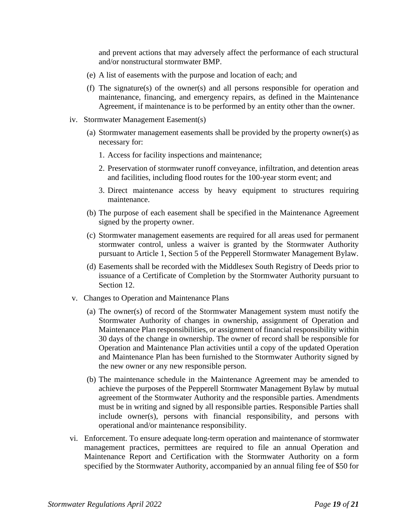and prevent actions that may adversely affect the performance of each structural and/or nonstructural stormwater BMP.

- (e) A list of easements with the purpose and location of each; and
- (f) The signature(s) of the owner(s) and all persons responsible for operation and maintenance, financing, and emergency repairs, as defined in the Maintenance Agreement, if maintenance is to be performed by an entity other than the owner.
- iv. Stormwater Management Easement(s)
	- (a) Stormwater management easements shall be provided by the property owner(s) as necessary for:
		- 1. Access for facility inspections and maintenance;
		- 2. Preservation of stormwater runoff conveyance, infiltration, and detention areas and facilities, including flood routes for the 100-year storm event; and
		- 3. Direct maintenance access by heavy equipment to structures requiring maintenance.
	- (b) The purpose of each easement shall be specified in the Maintenance Agreement signed by the property owner.
	- (c) Stormwater management easements are required for all areas used for permanent stormwater control, unless a waiver is granted by the Stormwater Authority pursuant to Article 1, Section 5 of the Pepperell Stormwater Management Bylaw.
	- (d) Easements shall be recorded with the Middlesex South Registry of Deeds prior to issuance of a Certificate of Completion by the Stormwater Authority pursuant to Section 12.
- v. Changes to Operation and Maintenance Plans
	- (a) The owner(s) of record of the Stormwater Management system must notify the Stormwater Authority of changes in ownership, assignment of Operation and Maintenance Plan responsibilities, or assignment of financial responsibility within 30 days of the change in ownership. The owner of record shall be responsible for Operation and Maintenance Plan activities until a copy of the updated Operation and Maintenance Plan has been furnished to the Stormwater Authority signed by the new owner or any new responsible person.
	- (b) The maintenance schedule in the Maintenance Agreement may be amended to achieve the purposes of the Pepperell Stormwater Management Bylaw by mutual agreement of the Stormwater Authority and the responsible parties. Amendments must be in writing and signed by all responsible parties. Responsible Parties shall include owner(s), persons with financial responsibility, and persons with operational and/or maintenance responsibility.
- vi. Enforcement. To ensure adequate long-term operation and maintenance of stormwater management practices, permittees are required to file an annual Operation and Maintenance Report and Certification with the Stormwater Authority on a form specified by the Stormwater Authority, accompanied by an annual filing fee of \$50 for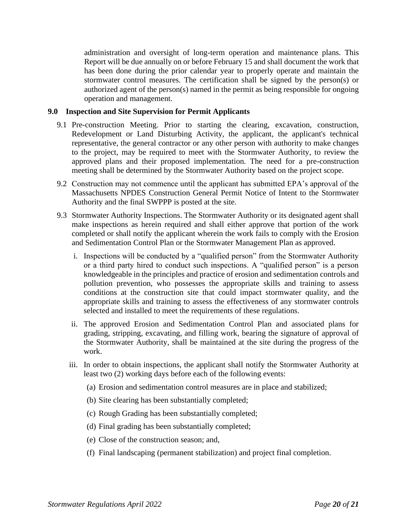administration and oversight of long-term operation and maintenance plans. This Report will be due annually on or before February 15 and shall document the work that has been done during the prior calendar year to properly operate and maintain the stormwater control measures. The certification shall be signed by the person(s) or authorized agent of the person(s) named in the permit as being responsible for ongoing operation and management.

#### <span id="page-19-0"></span>**9.0 Inspection and Site Supervision for Permit Applicants**

- 9.1 Pre-construction Meeting. Prior to starting the clearing, excavation, construction, Redevelopment or Land Disturbing Activity, the applicant, the applicant's technical representative, the general contractor or any other person with authority to make changes to the project, may be required to meet with the Stormwater Authority, to review the approved plans and their proposed implementation. The need for a pre-construction meeting shall be determined by the Stormwater Authority based on the project scope.
- 9.2 Construction may not commence until the applicant has submitted EPA's approval of the Massachusetts NPDES Construction General Permit Notice of Intent to the Stormwater Authority and the final SWPPP is posted at the site.
- 9.3 Stormwater Authority Inspections. The Stormwater Authority or its designated agent shall make inspections as herein required and shall either approve that portion of the work completed or shall notify the applicant wherein the work fails to comply with the Erosion and Sedimentation Control Plan or the Stormwater Management Plan as approved.
	- i. Inspections will be conducted by a "qualified person" from the Stormwater Authority or a third party hired to conduct such inspections. A "qualified person" is a person knowledgeable in the principles and practice of erosion and sedimentation controls and pollution prevention, who possesses the appropriate skills and training to assess conditions at the construction site that could impact stormwater quality, and the appropriate skills and training to assess the effectiveness of any stormwater controls selected and installed to meet the requirements of these regulations.
	- ii. The approved Erosion and Sedimentation Control Plan and associated plans for grading, stripping, excavating, and filling work, bearing the signature of approval of the Stormwater Authority, shall be maintained at the site during the progress of the work.
	- iii. In order to obtain inspections, the applicant shall notify the Stormwater Authority at least two (2) working days before each of the following events:
		- (a) Erosion and sedimentation control measures are in place and stabilized;
		- (b) Site clearing has been substantially completed;
		- (c) Rough Grading has been substantially completed;
		- (d) Final grading has been substantially completed;
		- (e) Close of the construction season; and,
		- (f) Final landscaping (permanent stabilization) and project final completion.